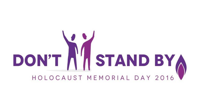# DON'T NY STAND BY HOLOCAUST MEMORIAL DAY 2016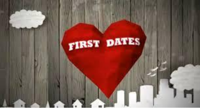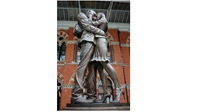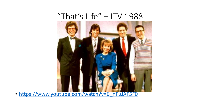#### "That's Life"  $-$  ITV 1988



· https://www.youtube.com/watch?v=6 nFuJAF5F0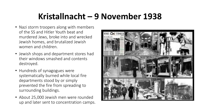## **Kristallnacht – 9 November 1938**

- Nazi storm troopers along with members of the SS and Hitler Youth beat and murdered Jews, broke into and wrecked Jewish homes, and brutalized Jewish women and children.
- Jewish shops and department stores had their windows smashed and contents destroyed.
- Hundreds of synagogues were systematically burned while local fire departments stood by or simply prevented the fire from spreading to surrounding buildings.
- About 25,000 Jewish men were rounded up and later sent to concentration camps.

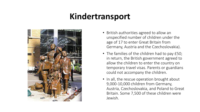## **Kindertransport**



- British authorities agreed to allow an unspecified number of children under the age of 17 to enter Great Britain from Germany, Austria and the Czechoslovakia).
- The families of the children had to pay £50; in return, the British government agreed to allow the children to enter the country on temporary travel visas. Parents or guardians could not accompany the children.
- In all, the rescue operation brought about 9,000-10,000 children from Germany, Austria, Czechoslovakia, and Poland to Great Britain. Some 7,500 of these children were Jewish.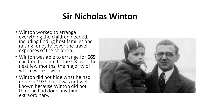## **Sir Nicholas Winton**

- Winton worked to arrange everything the children needed, including finding host families and raising funds to cover the travel expenses of the children.
- Winton was able to arrange for 669 children to come to the UK over the next few months, the majority of whom were Jewish.
- Winton did not hide what he had done in 1939 but it was not wellknown because Winton did not think he had done anything extraordinary.

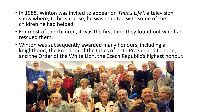- In 1988, Winton was invited to appear on *That's Life!*, a television show where, to his surprise, he was reunited with some of the children he had helped.
- For most of the children, it was the first time they found out who had rescued them.
- Winton was subsequently awarded many honours, including a knighthood, the Freedom of the Cities of both Prague and London, and the Order of the White Lion, the Czech Republic's highest honour.

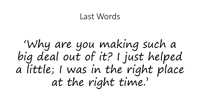#### Last Words

'Why are you making such a big deal out of it? I just helped a little; I was in the right place at the right time.'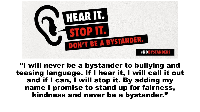

"I will never be a bystander to bullying and teasing language. If I hear it, I will call it out and if I can, I will stop it. By adding my name I promise to stand up for fairness, kindness and never be a bystander."